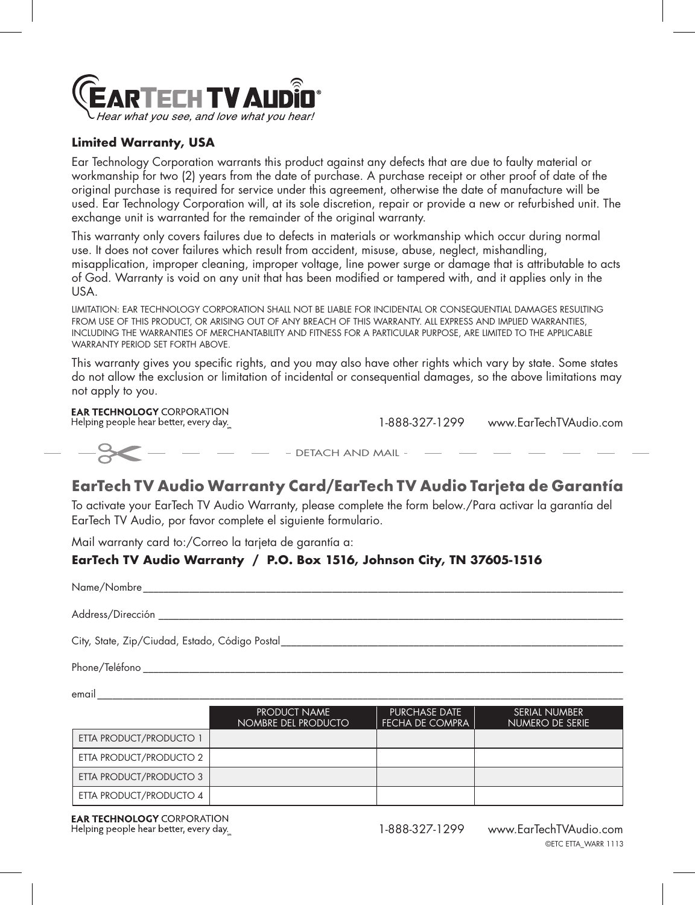

### **Limited Warranty, USA**

Ear Technology Corporation warrants this product against any defects that are due to faulty material or workmanship for two (2) years from the date of purchase. A purchase receipt or other proof of date of the original purchase is required for service under this agreement, otherwise the date of manufacture will be used. Ear Technology Corporation will, at its sole discretion, repair or provide a new or refurbished unit. The exchange unit is warranted for the remainder of the original warranty.

This warranty only covers failures due to defects in materials or workmanship which occur during normal use. It does not cover failures which result from accident, misuse, abuse, neglect, mishandling, misapplication, improper cleaning, improper voltage, line power surge or damage that is attributable to acts of God. Warranty is void on any unit that has been modified or tampered with, and it applies only in the USA.

LIMITATION: EAR TECHNOLOGY CORPORATION SHALL NOT BE LIABLE FOR INCIDENTAL OR CONSEQUENTIAL DAMAGES RESULTING FROM USE OF THIS PRODUCT. OR ARISING OUT OF ANY BREACH OF THIS WARRANTY. ALL EXPRESS AND IMPLIED WARRANTIES. INCLUDING THE WARRANTIES OF MERCHANTABILITY AND FITNESS FOR A PARTICULAR PURPOSE, ARE LIMITED TO THE APPLICABLE WARRANTY PERIOD SET FORTH ABOVE.

This warranty gives you specific rights, and you may also have other rights which vary by state. Some states do not allow the exclusion or limitation of incidental or consequential damages, so the above limitations may not apply to you.

## **EAR TECHNOLOGY CORPORATION**

Helping people hear better, every day.

1-888-327-1299 www.EarTechTVAudio.com

# **EarTech TV Audio Warranty Card/EarTech TV Audio Tarjeta de Garantía**

- DETACH AND MAIL -

To activate your EarTech TV Audio Warranty, please complete the form below./Para activar la garantía del EarTech TV Audio, por favor complete el siguiente formulario.

Mail warranty card to:/Correo la tarjeta de garantía a:

### **EarTech TV Audio Warranty / P.O. Box 1516, Johnson City, TN 37605-1516**

| Name/Nombre                                    |  |
|------------------------------------------------|--|
| Address/Dirección                              |  |
| City, State, Zip/Ciudad, Estado, Código Postal |  |

Phone/Teléfono \_\_\_\_\_\_\_\_\_\_\_\_\_\_\_\_\_\_\_\_\_\_\_\_\_\_\_\_\_\_\_\_\_\_\_\_\_\_\_\_\_\_\_\_\_\_\_\_\_\_\_\_\_\_\_\_\_\_\_\_\_\_\_\_\_\_\_\_\_\_\_\_\_\_\_\_\_\_\_\_\_\_\_\_\_\_\_\_\_\_\_\_\_\_

email \_\_\_\_\_\_\_\_\_\_\_\_\_\_\_\_\_\_\_\_\_\_\_\_\_\_\_\_\_\_\_\_\_\_\_\_\_\_\_\_\_\_\_\_\_\_\_\_\_\_\_\_\_\_\_\_\_\_\_\_\_\_\_\_\_\_\_\_\_\_\_\_\_\_\_\_\_\_\_\_\_\_\_\_\_\_\_\_\_\_\_\_\_\_\_\_\_\_\_\_\_\_\_

|                         | <b>PRODUCT NAME</b><br>NOMBRE DEL PRODUCTO | <b>PURCHASE DATE</b><br><b>FECHA DE COMPRA</b> | SERIAL NUMBER<br>NUMERO DE SERIE |
|-------------------------|--------------------------------------------|------------------------------------------------|----------------------------------|
|                         |                                            |                                                |                                  |
| ETTA PRODUCT/PRODUCTO 1 |                                            |                                                |                                  |
| ETTA PRODUCT/PRODUCTO 2 |                                            |                                                |                                  |
| ETTA PRODUCT/PRODUCTO 3 |                                            |                                                |                                  |
| ETTA PRODUCT/PRODUCTO 4 |                                            |                                                |                                  |